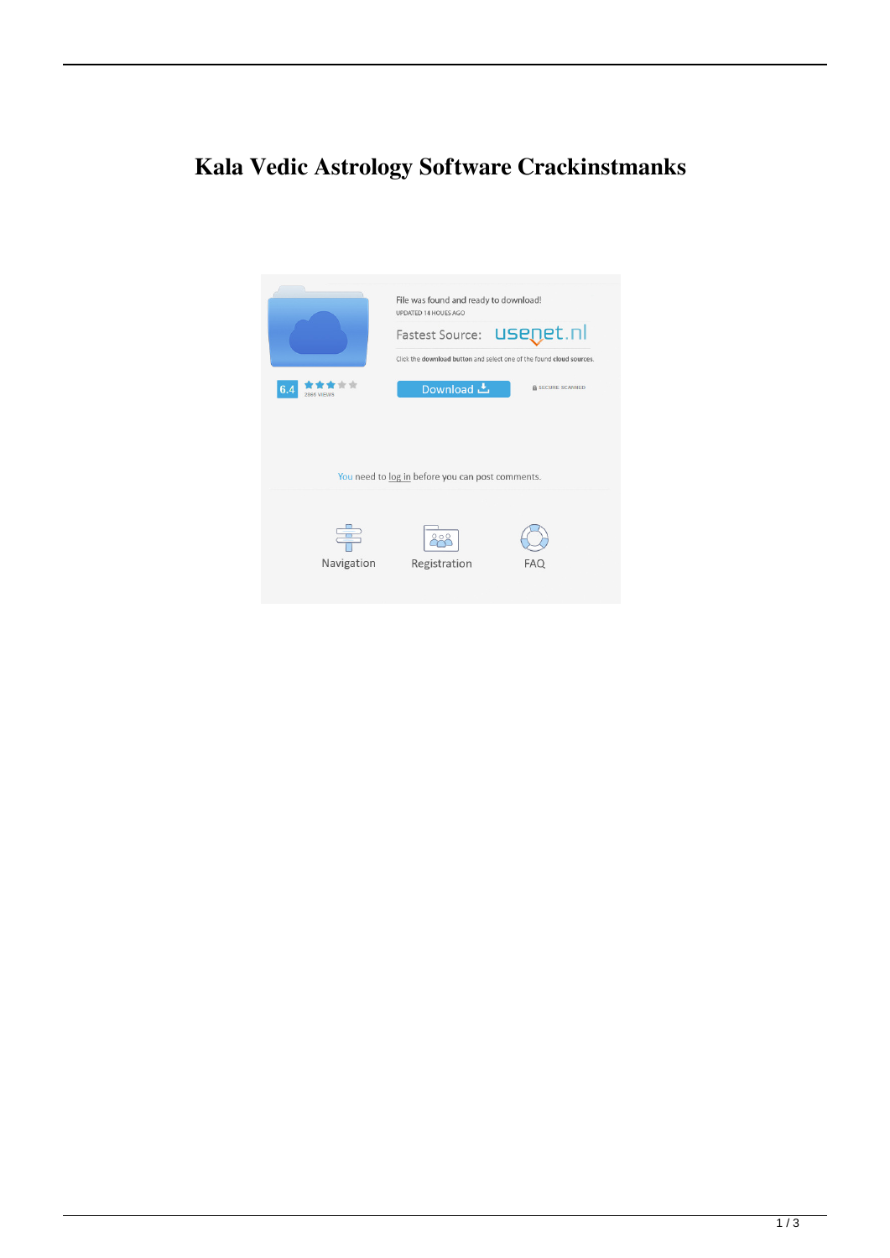## **Kala Vedic Astrology Software Crackinstmanks**

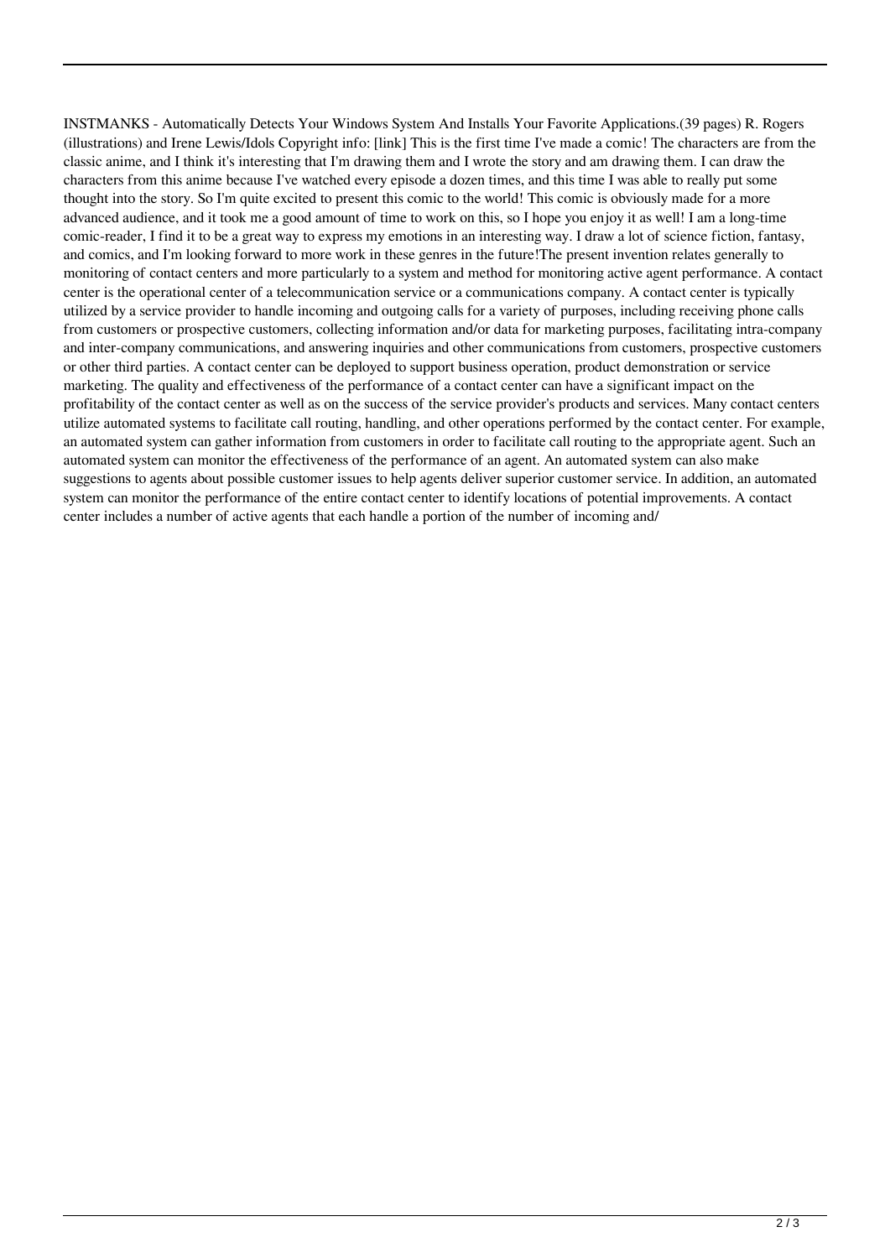INSTMANKS - Automatically Detects Your Windows System And Installs Your Favorite Applications.(39 pages) R. Rogers (illustrations) and Irene Lewis/Idols Copyright info: [link] This is the first time I've made a comic! The characters are from the classic anime, and I think it's interesting that I'm drawing them and I wrote the story and am drawing them. I can draw the characters from this anime because I've watched every episode a dozen times, and this time I was able to really put some thought into the story. So I'm quite excited to present this comic to the world! This comic is obviously made for a more advanced audience, and it took me a good amount of time to work on this, so I hope you enjoy it as well! I am a long-time comic-reader, I find it to be a great way to express my emotions in an interesting way. I draw a lot of science fiction, fantasy, and comics, and I'm looking forward to more work in these genres in the future!The present invention relates generally to monitoring of contact centers and more particularly to a system and method for monitoring active agent performance. A contact center is the operational center of a telecommunication service or a communications company. A contact center is typically utilized by a service provider to handle incoming and outgoing calls for a variety of purposes, including receiving phone calls from customers or prospective customers, collecting information and/or data for marketing purposes, facilitating intra-company and inter-company communications, and answering inquiries and other communications from customers, prospective customers or other third parties. A contact center can be deployed to support business operation, product demonstration or service marketing. The quality and effectiveness of the performance of a contact center can have a significant impact on the profitability of the contact center as well as on the success of the service provider's products and services. Many contact centers utilize automated systems to facilitate call routing, handling, and other operations performed by the contact center. For example, an automated system can gather information from customers in order to facilitate call routing to the appropriate agent. Such an automated system can monitor the effectiveness of the performance of an agent. An automated system can also make suggestions to agents about possible customer issues to help agents deliver superior customer service. In addition, an automated system can monitor the performance of the entire contact center to identify locations of potential improvements. A contact center includes a number of active agents that each handle a portion of the number of incoming and/